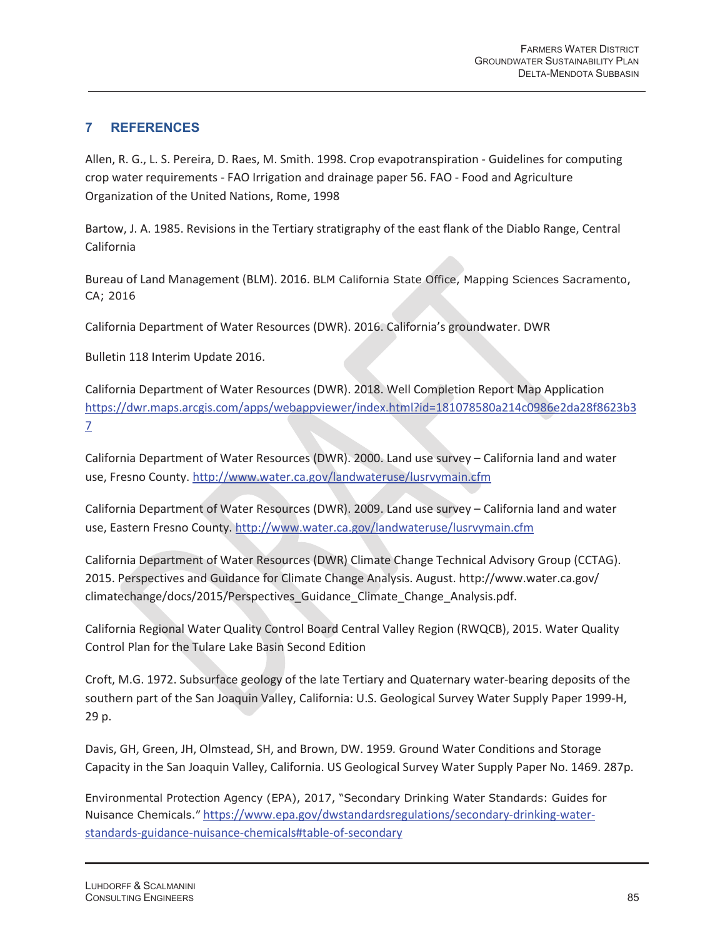## **7 REFERENCES**

Allen, R. G., L. S. Pereira, D. Raes, M. Smith. 1998. Crop evapotranspiration - Guidelines for computing crop water requirements - FAO Irrigation and drainage paper 56. FAO - Food and Agriculture Organization of the United Nations, Rome, 1998

Bartow, J. A. 1985. Revisions in the Tertiary stratigraphy of the east flank of the Diablo Range, Central California

Bureau of Land Management (BLM). 2016. BLM California State Office, Mapping Sciences Sacramento, CA; 2016

California Department of Water Resources (DWR). 2016. California's groundwater. DWR

Bulletin 118 Interim Update 2016.

California Department of Water Resources (DWR). 2018. Well Completion Report Map Application https://dwr.maps.arcgis.com/apps/webappviewer/index.html?id=181078580a214c0986e2da28f8623b3 7

California Department of Water Resources (DWR). 2000. Land use survey – California land and water use, Fresno County. http://www.water.ca.gov/landwateruse/lusrvymain.cfm

California Department of Water Resources (DWR). 2009. Land use survey – California land and water use, Eastern Fresno County. http://www.water.ca.gov/landwateruse/lusrvymain.cfm

California Department of Water Resources (DWR) Climate Change Technical Advisory Group (CCTAG). 2015. Perspectives and Guidance for Climate Change Analysis. August. http://www.water.ca.gov/ climatechange/docs/2015/Perspectives\_Guidance\_Climate\_Change\_Analysis.pdf.

California Regional Water Quality Control Board Central Valley Region (RWQCB), 2015. Water Quality Control Plan for the Tulare Lake Basin Second Edition

Croft, M.G. 1972. Subsurface geology of the late Tertiary and Quaternary water-bearing deposits of the southern part of the San Joaquin Valley, California: U.S. Geological Survey Water Supply Paper 1999-H, 29 p.

Davis, GH, Green, JH, Olmstead, SH, and Brown, DW. 1959*.* Ground Water Conditions and Storage Capacity in the San Joaquin Valley, California. US Geological Survey Water Supply Paper No. 1469. 287p.

Environmental Protection Agency (EPA), 2017, "Secondary Drinking Water Standards: Guides for Nuisance Chemicals." https://www.epa.gov/dwstandardsregulations/secondary-drinking-waterstandards-guidance-nuisance-chemicals#table-of-secondary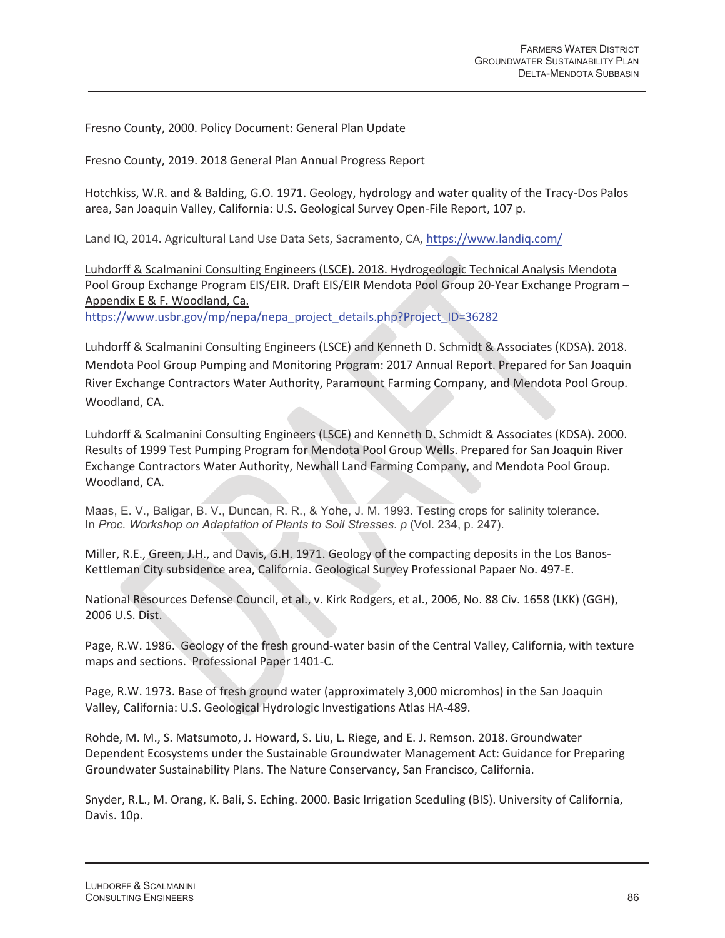Fresno County, 2000. Policy Document: General Plan Update

Fresno County, 2019. 2018 General Plan Annual Progress Report

Hotchkiss, W.R. and & Balding, G.O. 1971. Geology, hydrology and water quality of the Tracy-Dos Palos area, San Joaquin Valley, California: U.S. Geological Survey Open-File Report, 107 p.

Land IQ, 2014. Agricultural Land Use Data Sets, Sacramento, CA, https://www.landiq.com/

Luhdorff & Scalmanini Consulting Engineers (LSCE). 2018. Hydrogeologic Technical Analysis Mendota Pool Group Exchange Program EIS/EIR. Draft EIS/EIR Mendota Pool Group 20-Year Exchange Program – Appendix E & F. Woodland, Ca.

https://www.usbr.gov/mp/nepa/nepa\_project\_details.php?Project\_ID=36282

Luhdorff & Scalmanini Consulting Engineers (LSCE) and Kenneth D. Schmidt & Associates (KDSA). 2018. Mendota Pool Group Pumping and Monitoring Program: 2017 Annual Report. Prepared for San Joaquin River Exchange Contractors Water Authority, Paramount Farming Company, and Mendota Pool Group. Woodland, CA.

Luhdorff & Scalmanini Consulting Engineers (LSCE) and Kenneth D. Schmidt & Associates (KDSA). 2000. Results of 1999 Test Pumping Program for Mendota Pool Group Wells. Prepared for San Joaquin River Exchange Contractors Water Authority, Newhall Land Farming Company, and Mendota Pool Group. Woodland, CA.

Maas, E. V., Baligar, B. V., Duncan, R. R., & Yohe, J. M. 1993. Testing crops for salinity tolerance. In *Proc. Workshop on Adaptation of Plants to Soil Stresses. p* (Vol. 234, p. 247).

Miller, R.E., Green, J.H., and Davis, G.H. 1971. Geology of the compacting deposits in the Los Banos-Kettleman City subsidence area, California. Geological Survey Professional Papaer No. 497-E.

National Resources Defense Council, et al., v. Kirk Rodgers, et al., 2006, No. 88 Civ. 1658 (LKK) (GGH), 2006 U.S. Dist.

Page, R.W. 1986. Geology of the fresh ground-water basin of the Central Valley, California, with texture maps and sections. Professional Paper 1401-C.

Page, R.W. 1973. Base of fresh ground water (approximately 3,000 micromhos) in the San Joaquin Valley, California: U.S. Geological Hydrologic Investigations Atlas HA-489.

Rohde, M. M., S. Matsumoto, J. Howard, S. Liu, L. Riege, and E. J. Remson. 2018. Groundwater Dependent Ecosystems under the Sustainable Groundwater Management Act: Guidance for Preparing Groundwater Sustainability Plans. The Nature Conservancy, San Francisco, California.

Snyder, R.L., M. Orang, K. Bali, S. Eching. 2000. Basic Irrigation Sceduling (BIS). University of California, Davis. 10p.